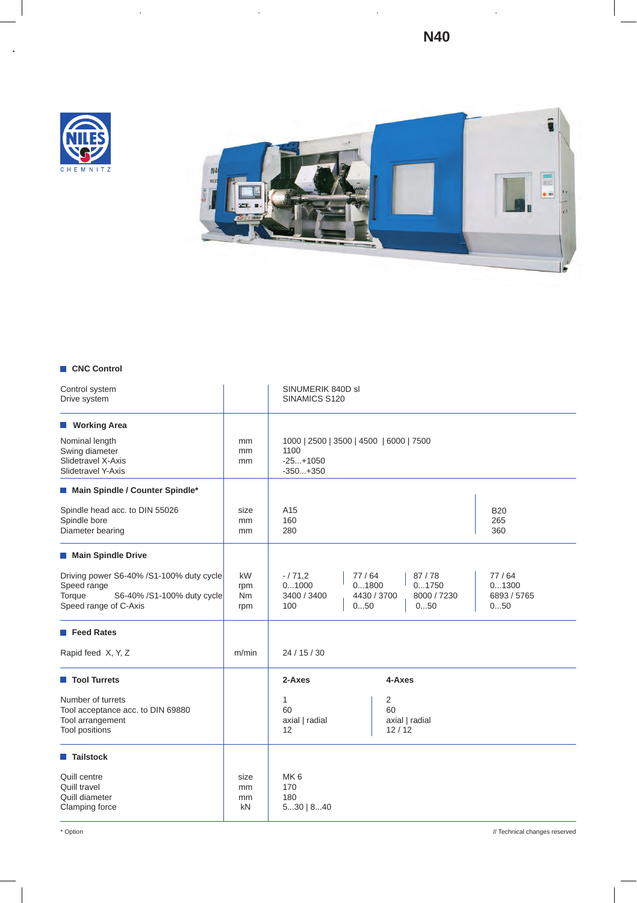**N40**





## **CNC Control**

| Control system<br>Drive system                                                                                           |                               | SINUMERIK 840D sl<br>SINAMICS S120                                          |                                      |                                      |                                      |
|--------------------------------------------------------------------------------------------------------------------------|-------------------------------|-----------------------------------------------------------------------------|--------------------------------------|--------------------------------------|--------------------------------------|
| <b>Working Area</b><br>Nominal length<br>Swing diameter<br>Slidetravel X-Axis<br>Slidetravel Y-Axis                      | mm<br>mm<br>mm                | 1000   2500   3500   4500   6000   7500<br>1100<br>$-25+1050$<br>$-350+350$ |                                      |                                      |                                      |
| Main Spindle / Counter Spindle*                                                                                          |                               |                                                                             |                                      |                                      |                                      |
| Spindle head acc. to DIN 55026<br>Spindle bore<br>Diameter bearing                                                       | size<br>mm<br>mm              | A15<br>160<br>280                                                           |                                      |                                      | <b>B20</b><br>265<br>360             |
| Main Spindle Drive                                                                                                       |                               |                                                                             |                                      |                                      |                                      |
| Driving power S6-40% /S1-100% duty cycle<br>Speed range<br>Torque<br>S6-40% /S1-100% duty cycle<br>Speed range of C-Axis | kW<br>rpm<br><b>Nm</b><br>rpm | $-/71,2$<br>01000<br>3400 / 3400<br>100                                     | 77/64<br>01800<br>4430 / 3700<br>050 | 87/78<br>01750<br>8000 / 7230<br>050 | 77/64<br>01300<br>6893 / 5765<br>050 |
| Feed Rates                                                                                                               |                               |                                                                             |                                      |                                      |                                      |
| Rapid feed X, Y, Z                                                                                                       | m/min                         | 24/15/30                                                                    |                                      |                                      |                                      |
| Tool Turrets                                                                                                             |                               | 2-Axes                                                                      | 4-Axes                               |                                      |                                      |
| Number of turrets<br>Tool acceptance acc. to DIN 69880<br>Tool arrangement<br><b>Tool positions</b>                      |                               | 1<br>60<br>axial   radial<br>12                                             | 2<br>60<br>12/12                     | axial   radial                       |                                      |
| <b>Tailstock</b>                                                                                                         |                               |                                                                             |                                      |                                      |                                      |
| Quill centre<br>Quill travel<br>Quill diameter<br>Clamping force                                                         | size<br>mm<br>mm<br>kN        | MK <sub>6</sub><br>170<br>180<br>530   840                                  |                                      |                                      |                                      |

\* Option // Technical changes reserved